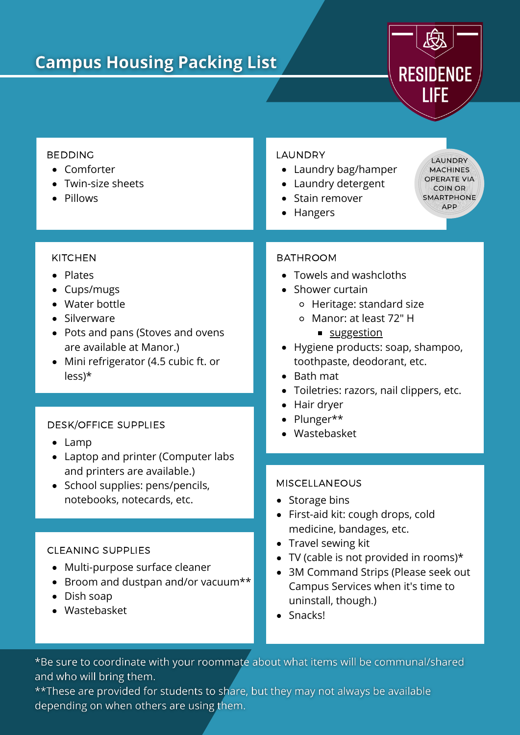# **Campus Housing Packing List**



#### BEDDING

- Comforter
- Twin-size sheets
- Pillows

#### **KITCHEN**

- Plates
- Cups/mugs
- Water bottle
- Silverware
- Pots and pans (Stoves and ovens are available at Manor.)
- Mini refrigerator (4.5 cubic ft. or less)\*

### DESK/OFFICE SUPPLIES

- Lamp
- Laptop and printer (Computer labs and printers are available.)
- School supplies: pens/pencils, notebooks, notecards, etc.

### CLEANING SUPPLIES

- Multi-purpose surface cleaner
- Broom and dustpan and/or vacuum\*\*
- Dish soap
- Wastebasket

### LAUNDRY

- Laundry bag/hamper
- Laundry detergent
- Stain remover
- Hangers

LAUNDRY **MACHINES OPERATE VIA COIN OR SMARTPHONE** APP

## **BATHROOM**

- Towels and washcloths
- Shower curtain
	- Heritage: standard size
	- Manor: at least 72" H
		- [suggestion](https://www.amazon.com/Amazer-Rust-Resistant-Waterproof-Bathroom-Curtains/dp/B07PQFG54M/ref=sxin_11?asc_contentid=amzn1.osa.143cbada-80fd-49be-bb1d-1a1462ffff34.ATVPDKIKX0DER.en_US&asc_contenttype=article&ascsubtag=amzn1.osa.143cbada-80fd-49be-bb1d-1a1462ffff34.ATVPDKIKX0DER.en_US&creativeASIN=B07NRZ8C2Q&cv_ct_cx=simple%2Bshower%2Bcurtain&cv_ct_id=amzn1.osa.143cbada-80fd-49be-bb1d-1a1462ffff34.ATVPDKIKX0DER.en_US&cv_ct_pg=search&cv_ct_we=asin&cv_ct_wn=osp-single-source-earns-comm&dchild=1&keywords=simple%2Bshower%2Bcurtain&linkCode=oas&pd_rd_i=B07NRZ8C2Q&pd_rd_r=d22e5bd7-c23d-4aec-9f45-2f75d0e66bcb&pd_rd_w=dPVAu&pd_rd_wg=LDqIM&pf_rd_p=2a3243ce-188f-426b-9a7c-cd22d207971e&pf_rd_r=H18C2QMC6V7HTZPQ7HR0&qid=1623348920&sr=1-1-64f3a41a-73ca-403a-923c-8152c45485fe&tag=realsimpleosp-20&th=1)
- Hygiene products: soap, shampoo, toothpaste, deodorant, etc.
- $\bullet$  Bath mat
- Toiletries: razors, nail clippers, etc.
- Hair dryer
- Plunger\*\*
- Wastebasket

#### MISCELLANEOUS

- Storage bins
- First-aid kit: cough drops, cold medicine, bandages, etc.
- Travel sewing kit
- TV (cable is not provided in rooms)\*
- 3M Command Strips (Please seek out Campus Services when it's time to uninstall, though.)
- Snacks!

\*Be sure to coordinate with your roommate about what items will be communal/shared and who will bring them.

\*\* These are provided for students to share, but they may not always be available depending on when others are using them.